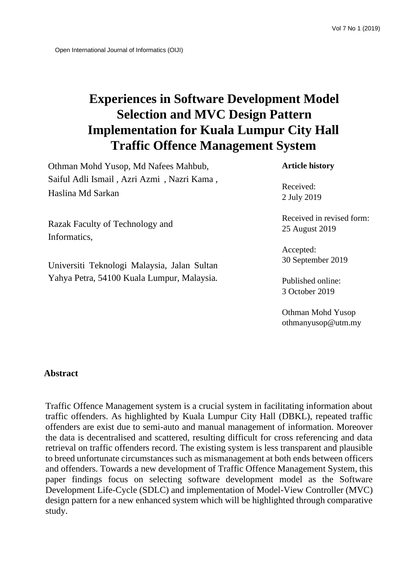# **Experiences in Software Development Model Selection and MVC Design Pattern Implementation for Kuala Lumpur City Hall Traffic Offence Management System**

Othman Mohd Yusop, Md Nafees Mahbub, Saiful Adli Ismail , Azri Azmi , Nazri Kama , Haslina Md Sarkan

**Article history** 

Received: 2 July 2019

Received in revised form: 25 August 2019

Accepted: 30 September 2019

Published online: 3 October 2019

Othman Mohd Yusop othmanyusop@utm.my

Razak Faculty of Technology and Informatics,

Universiti Teknologi Malaysia, Jalan Sultan Yahya Petra, 54100 Kuala Lumpur, Malaysia*.*

## **Abstract**

Traffic Offence Management system is a crucial system in facilitating information about traffic offenders. As highlighted by Kuala Lumpur City Hall (DBKL), repeated traffic offenders are exist due to semi-auto and manual management of information. Moreover the data is decentralised and scattered, resulting difficult for cross referencing and data retrieval on traffic offenders record. The existing system is less transparent and plausible to breed unfortunate circumstances such as mismanagement at both ends between officers and offenders. Towards a new development of Traffic Offence Management System, this paper findings focus on selecting software development model as the Software Development Life-Cycle (SDLC) and implementation of Model-View Controller (MVC) design pattern for a new enhanced system which will be highlighted through comparative study.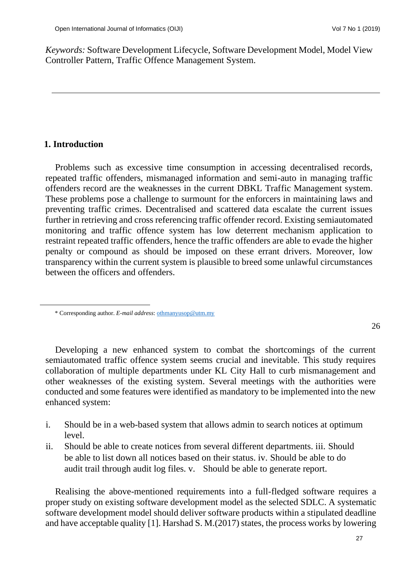i<br>S

*Keywords:* Software Development Lifecycle, Software Development Model, Model View Controller Pattern, Traffic Offence Management System.

## **1. Introduction**

Problems such as excessive time consumption in accessing decentralised records, repeated traffic offenders, mismanaged information and semi-auto in managing traffic offenders record are the weaknesses in the current DBKL Traffic Management system. These problems pose a challenge to surmount for the enforcers in maintaining laws and preventing traffic crimes. Decentralised and scattered data escalate the current issues further in retrieving and cross referencing traffic offender record. Existing semiautomated monitoring and traffic offence system has low deterrent mechanism application to restraint repeated traffic offenders, hence the traffic offenders are able to evade the higher penalty or compound as should be imposed on these errant drivers. Moreover, low transparency within the current system is plausible to breed some unlawful circumstances between the officers and offenders.

Developing a new enhanced system to combat the shortcomings of the current semiautomated traffic offence system seems crucial and inevitable. This study requires collaboration of multiple departments under KL City Hall to curb mismanagement and other weaknesses of the existing system. Several meetings with the authorities were conducted and some features were identified as mandatory to be implemented into the new enhanced system:

- i. Should be in a web-based system that allows admin to search notices at optimum level.
- ii. Should be able to create notices from several different departments. iii. Should be able to list down all notices based on their status. iv. Should be able to do audit trail through audit log files. v. Should be able to generate report.

Realising the above-mentioned requirements into a full-fledged software requires a proper study on existing software development model as the selected SDLC. A systematic software development model should deliver software products within a stipulated deadline and have acceptable quality [1]. Harshad S. M.(2017) states, the process works by lowering

<sup>\*</sup> Corresponding author. *E-mail address*: othmanyusop@utm.my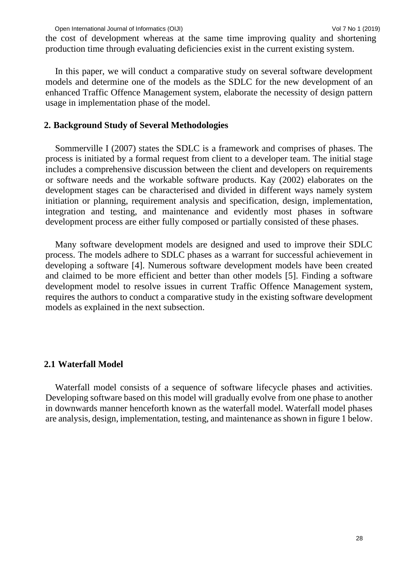the cost of development whereas at the same time improving quality and shortening production time through evaluating deficiencies exist in the current existing system.

In this paper, we will conduct a comparative study on several software development models and determine one of the models as the SDLC for the new development of an enhanced Traffic Offence Management system, elaborate the necessity of design pattern usage in implementation phase of the model.

#### **2. Background Study of Several Methodologies**

Sommerville I (2007) states the SDLC is a framework and comprises of phases. The process is initiated by a formal request from client to a developer team. The initial stage includes a comprehensive discussion between the client and developers on requirements or software needs and the workable software products. Kay (2002) elaborates on the development stages can be characterised and divided in different ways namely system initiation or planning, requirement analysis and specification, design, implementation, integration and testing, and maintenance and evidently most phases in software development process are either fully composed or partially consisted of these phases.

Many software development models are designed and used to improve their SDLC process. The models adhere to SDLC phases as a warrant for successful achievement in developing a software [4]. Numerous software development models have been created and claimed to be more efficient and better than other models [5]. Finding a software development model to resolve issues in current Traffic Offence Management system, requires the authors to conduct a comparative study in the existing software development models as explained in the next subsection.

#### **2.1 Waterfall Model**

Waterfall model consists of a sequence of software lifecycle phases and activities. Developing software based on this model will gradually evolve from one phase to another in downwards manner henceforth known as the waterfall model. Waterfall model phases are analysis, design, implementation, testing, and maintenance as shown in figure 1 below.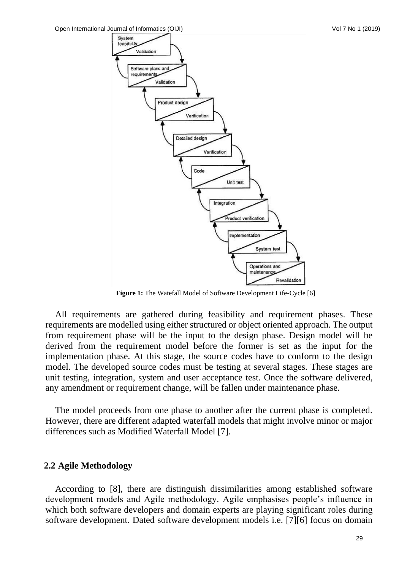

**Figure 1:** The Watefall Model of Software Development Life-Cycle [6]

All requirements are gathered during feasibility and requirement phases. These requirements are modelled using either structured or object oriented approach. The output from requirement phase will be the input to the design phase. Design model will be derived from the requirement model before the former is set as the input for the implementation phase. At this stage, the source codes have to conform to the design model. The developed source codes must be testing at several stages. These stages are unit testing, integration, system and user acceptance test. Once the software delivered, any amendment or requirement change, will be fallen under maintenance phase.

The model proceeds from one phase to another after the current phase is completed. However, there are different adapted waterfall models that might involve minor or major differences such as Modified Waterfall Model [7].

#### **2.2 Agile Methodology**

According to [8], there are distinguish dissimilarities among established software development models and Agile methodology. Agile emphasises people's influence in which both software developers and domain experts are playing significant roles during software development. Dated software development models i.e. [7][6] focus on domain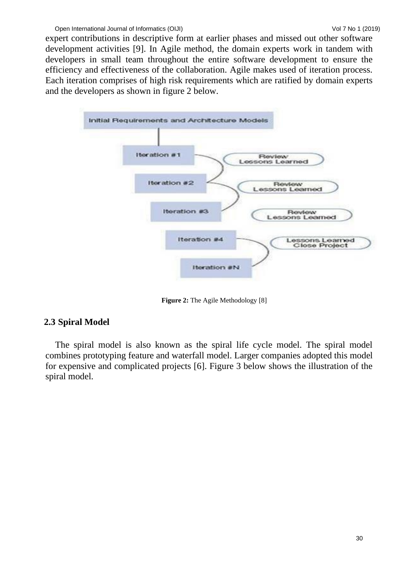expert contributions in descriptive form at earlier phases and missed out other software development activities [9]. In Agile method, the domain experts work in tandem with developers in small team throughout the entire software development to ensure the efficiency and effectiveness of the collaboration. Agile makes used of iteration process. Each iteration comprises of high risk requirements which are ratified by domain experts and the developers as shown in figure 2 below.



**Figure 2:** The Agile Methodology [8]

# **2.3 Spiral Model**

The spiral model is also known as the spiral life cycle model. The spiral model combines prototyping feature and waterfall model. Larger companies adopted this model for expensive and complicated projects [6]. Figure 3 below shows the illustration of the spiral model.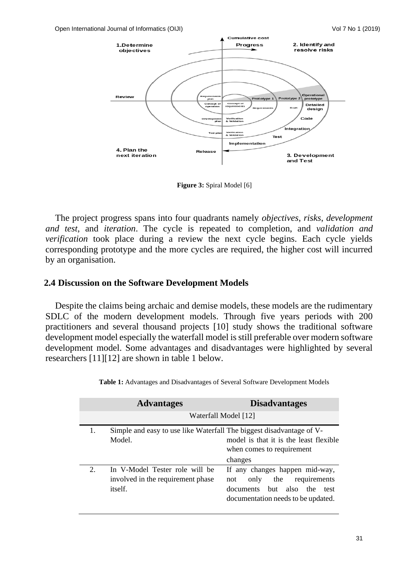

**Figure 3:** Spiral Model [6]

The project progress spans into four quadrants namely *objectives*, *risks*, *development and test*, and *iteration*. The cycle is repeated to completion, and *validation and verification* took place during a review the next cycle begins. Each cycle yields corresponding prototype and the more cycles are required, the higher cost will incurred by an organisation.

### **2.4 Discussion on the Software Development Models**

Despite the claims being archaic and demise models, these models are the rudimentary SDLC of the modern development models. Through five years periods with 200 practitioners and several thousand projects [10] study shows the traditional software development model especially the waterfall model is still preferable over modern software development model. Some advantages and disadvantages were highlighted by several researchers [11][12] are shown in table 1 below.

|    | <b>Advantages</b>                                                              | <b>Disadvantages</b>                                                                                                                         |  |  |
|----|--------------------------------------------------------------------------------|----------------------------------------------------------------------------------------------------------------------------------------------|--|--|
|    | Waterfall Model [12]                                                           |                                                                                                                                              |  |  |
| 1. | Simple and easy to use like Waterfall The biggest disadvantage of V-<br>Model. | model is that it is the least flexible<br>when comes to requirement<br>changes                                                               |  |  |
| 2. | In V-Model Tester role will be<br>involved in the requirement phase<br>itself. | If any changes happen mid-way,<br>the<br>requirements<br>only<br>not<br>documents but also the<br>test<br>documentation needs to be updated. |  |  |

**Table 1:** Advantages and Disadvantages of Several Software Development Models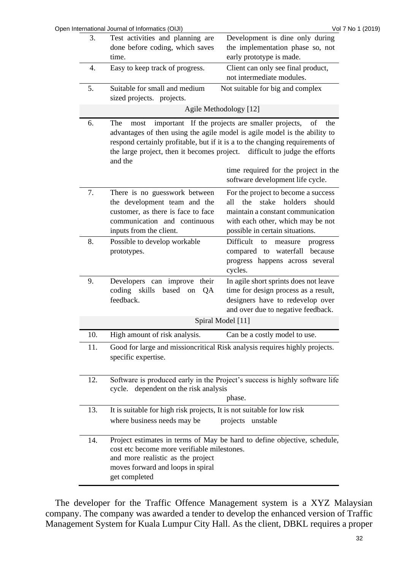| 3.  | Open International Journal of Informatics (OIJI)<br>Test activities and planning are                                                                                                                                                                                                                                              | Vol 7 No 1 (2019)<br>Development is dine only during                                                                                                                                   |  |  |
|-----|-----------------------------------------------------------------------------------------------------------------------------------------------------------------------------------------------------------------------------------------------------------------------------------------------------------------------------------|----------------------------------------------------------------------------------------------------------------------------------------------------------------------------------------|--|--|
|     | done before coding, which saves                                                                                                                                                                                                                                                                                                   | the implementation phase so, not                                                                                                                                                       |  |  |
|     | time.                                                                                                                                                                                                                                                                                                                             | early prototype is made.                                                                                                                                                               |  |  |
| 4.  | Easy to keep track of progress.                                                                                                                                                                                                                                                                                                   | Client can only see final product,                                                                                                                                                     |  |  |
|     |                                                                                                                                                                                                                                                                                                                                   | not intermediate modules.                                                                                                                                                              |  |  |
| 5.  | Suitable for small and medium                                                                                                                                                                                                                                                                                                     | Not suitable for big and complex                                                                                                                                                       |  |  |
|     | sized projects. projects.                                                                                                                                                                                                                                                                                                         |                                                                                                                                                                                        |  |  |
|     | Agile Methodology [12]                                                                                                                                                                                                                                                                                                            |                                                                                                                                                                                        |  |  |
| 6.  | important If the projects are smaller projects,<br>of<br>The<br>most<br>the<br>advantages of then using the agile model is agile model is the ability to<br>respond certainly profitable, but if it is a to the changing requirements of<br>the large project, then it becomes project. difficult to judge the efforts<br>and the |                                                                                                                                                                                        |  |  |
|     |                                                                                                                                                                                                                                                                                                                                   | time required for the project in the<br>software development life cycle.                                                                                                               |  |  |
| 7.  | There is no guesswork between<br>the development team and the<br>customer, as there is face to face<br>communication and continuous<br>inputs from the client.                                                                                                                                                                    | For the project to become a success<br>the stake holders<br>all<br>should<br>maintain a constant communication<br>with each other, which may be not<br>possible in certain situations. |  |  |
| 8.  | Possible to develop workable<br>prototypes.                                                                                                                                                                                                                                                                                       | Difficult<br>to<br>measure<br>progress<br>compared to waterfall because<br>progress happens across several<br>cycles.                                                                  |  |  |
| 9.  | Developers can improve their<br>coding skills<br>based on<br>QA<br>feedback.                                                                                                                                                                                                                                                      | In agile short sprints does not leave<br>time for design process as a result,<br>designers have to redevelop over<br>and over due to negative feedback.                                |  |  |
|     | Spiral Model [11]                                                                                                                                                                                                                                                                                                                 |                                                                                                                                                                                        |  |  |
| 10. | High amount of risk analysis.                                                                                                                                                                                                                                                                                                     | Can be a costly model to use.                                                                                                                                                          |  |  |
| 11. | Good for large and missioncritical Risk analysis requires highly projects.<br>specific expertise.                                                                                                                                                                                                                                 |                                                                                                                                                                                        |  |  |
| 12. | Software is produced early in the Project's success is highly software life<br>cycle. dependent on the risk analysis<br>phase.                                                                                                                                                                                                    |                                                                                                                                                                                        |  |  |
| 13. | It is suitable for high risk projects, It is not suitable for low risk                                                                                                                                                                                                                                                            |                                                                                                                                                                                        |  |  |
|     | where business needs may be                                                                                                                                                                                                                                                                                                       | projects unstable                                                                                                                                                                      |  |  |
| 14. | cost etc become more verifiable milestones.<br>and more realistic as the project<br>moves forward and loops in spiral<br>get completed                                                                                                                                                                                            | Project estimates in terms of May be hard to define objective, schedule,                                                                                                               |  |  |

The developer for the Traffic Offence Management system is a XYZ Malaysian company. The company was awarded a tender to develop the enhanced version of Traffic Management System for Kuala Lumpur City Hall. As the client, DBKL requires a proper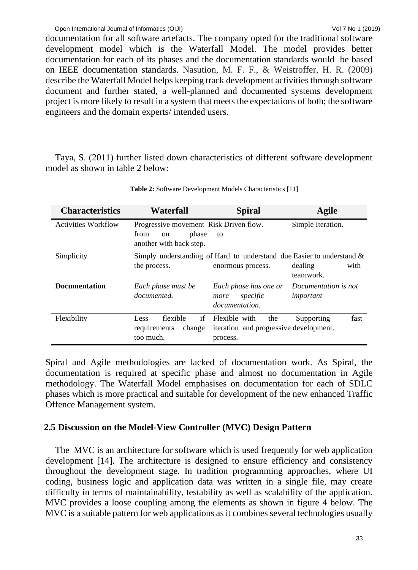documentation for all software artefacts. The company opted for the traditional software development model which is the Waterfall Model. The model provides better documentation for each of its phases and the documentation standards would be based on IEEE documentation standards. Nasution, M. F. F., & Weistroffer, H. R. (2009) describe the Waterfall Model helps keeping track development activities through software document and further stated, a well-planned and documented systems development project is more likely to result in a system that meets the expectations of both; the software engineers and the domain experts/ intended users.

Taya, S. (2011) further listed down characteristics of different software development model as shown in table 2 below:

| <b>Characteristics</b>     | Waterfall                                                                                | <b>Spiral</b>                                                                                 | Agile                             |
|----------------------------|------------------------------------------------------------------------------------------|-----------------------------------------------------------------------------------------------|-----------------------------------|
| <b>Activities Workflow</b> | Progressive movement Risk Driven flow.<br>phase<br>from<br>on<br>another with back step. | to                                                                                            | Simple Iteration.                 |
| Simplicity                 | the process.                                                                             | Simply understanding of Hard to understand due Easier to understand $\&$<br>enormous process. | dealing<br>with<br>teamwork.      |
| <b>Documentation</b>       | Each phase must be<br>documented.                                                        | Each phase has one or<br>specific<br>more<br>documentation.                                   | Documentation is not<br>important |
| Flexibility                | flexible<br>if<br>Less<br>change<br>requirements<br>too much.                            | Flexible with<br>the<br>iteration and progressive development.<br>process.                    | fast<br>Supporting                |

**Table 2:** Software Development Models Characteristics [11]

Spiral and Agile methodologies are lacked of documentation work. As Spiral, the documentation is required at specific phase and almost no documentation in Agile methodology. The Waterfall Model emphasises on documentation for each of SDLC phases which is more practical and suitable for development of the new enhanced Traffic Offence Management system.

# **2.5 Discussion on the Model-View Controller (MVC) Design Pattern**

The MVC is an architecture for software which is used frequently for web application development [14]. The architecture is designed to ensure efficiency and consistency throughout the development stage. In tradition programming approaches, where UI coding, business logic and application data was written in a single file, may create difficulty in terms of maintainability, testability as well as scalability of the application. MVC provides a loose coupling among the elements as shown in figure 4 below. The MVC is a suitable pattern for web applications as it combines several technologies usually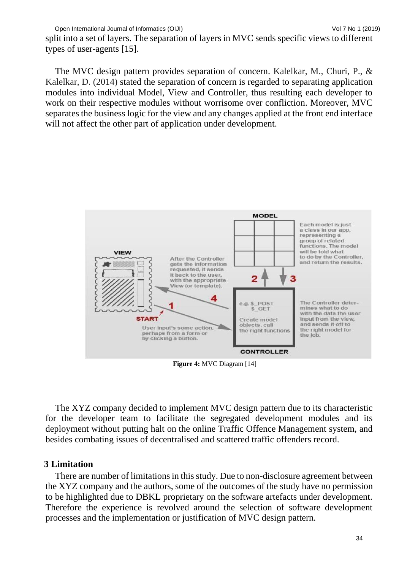split into a set of layers. The separation of layers in MVC sends specific views to different types of user-agents [15].

The MVC design pattern provides separation of concern. Kalelkar, M., Churi, P., & Kalelkar, D. (2014) stated the separation of concern is regarded to separating application modules into individual Model, View and Controller, thus resulting each developer to work on their respective modules without worrisome over confliction. Moreover, MVC separates the business logic for the view and any changes applied at the front end interface will not affect the other part of application under development.



**Figure 4:** MVC Diagram [14]

The XYZ company decided to implement MVC design pattern due to its characteristic for the developer team to facilitate the segregated development modules and its deployment without putting halt on the online Traffic Offence Management system, and besides combating issues of decentralised and scattered traffic offenders record.

# **3 Limitation**

There are number of limitations in this study. Due to non-disclosure agreement between the XYZ company and the authors, some of the outcomes of the study have no permission to be highlighted due to DBKL proprietary on the software artefacts under development. Therefore the experience is revolved around the selection of software development processes and the implementation or justification of MVC design pattern.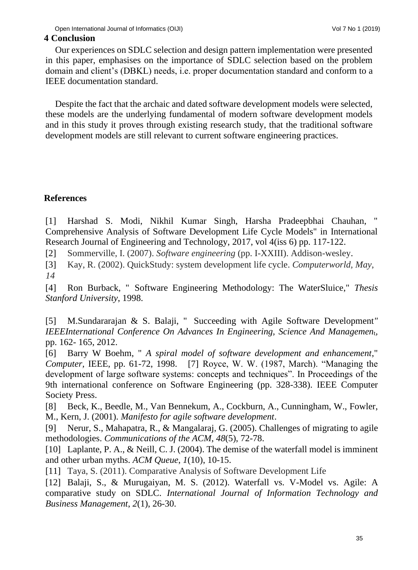# **4 Conclusion**

Our experiences on SDLC selection and design pattern implementation were presented in this paper, emphasises on the importance of SDLC selection based on the problem domain and client's (DBKL) needs, i.e. proper documentation standard and conform to a IEEE documentation standard.

Despite the fact that the archaic and dated software development models were selected, these models are the underlying fundamental of modern software development models and in this study it proves through existing research study, that the traditional software development models are still relevant to current software engineering practices.

# **References**

[1] Harshad S. Modi, Nikhil Kumar Singh, Harsha Pradeepbhai Chauhan, Comprehensive Analysis of Software Development Life Cycle Models" in International Research Journal of Engineering and Technology, 2017, vol 4(iss 6) pp. 117-122.

[2] Sommerville, I. (2007). *Software engineering* (pp. I-XXIII). Addison-wesley.

[3] Kay, R. (2002). QuickStudy: system development life cycle. *Computerworld, May*, *14*

[4] Ron Burback, " Software Engineering Methodology: The WaterSluice," *Thesis Stanford University*, 1998.

[5] M.Sundararajan & S. Balaji, " Succeeding with Agile Software Development*" IEEEInternational Conference On Advances In Engineering, Science And Managemen<sub>t</sub>,* pp. 162- 165, 2012.

[6] Barry W Boehm, " *A spiral model of software development and enhancement*," *Computer,* IEEE, pp. 61-72, 1998. [7] Royce, W. W. (1987, March). "Managing the development of large software systems: concepts and techniques". In Proceedings of the 9th international conference on Software Engineering (pp. 328-338). IEEE Computer Society Press.

[8] Beck, K., Beedle, M., Van Bennekum, A., Cockburn, A., Cunningham, W., Fowler, M., Kern, J. (2001). *Manifesto for agile software development*.

[9] Nerur, S., Mahapatra, R., & Mangalaraj, G. (2005). Challenges of migrating to agile methodologies. *Communications of the ACM*, *48*(5), 72-78.

[10] Laplante, P. A., & Neill, C. J. (2004). The demise of the waterfall model is imminent and other urban myths. *ACM Queue*, *1*(10), 10-15.

[11] Taya, S. (2011). Comparative Analysis of Software Development Life

[12] Balaji, S., & Murugaiyan, M. S. (2012). Waterfall vs. V-Model vs. Agile: A comparative study on SDLC. *International Journal of Information Technology and Business Management*, *2*(1), 26-30.